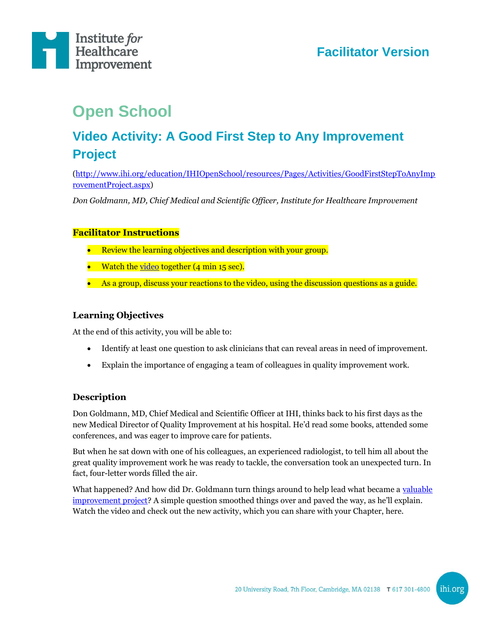

# **Facilitator Version**

# **Open School**

# **Video Activity: A Good First Step to Any Improvement Project**

[\(http://www.ihi.org/education/IHIOpenSchool/resources/Pages/Activities/GoodFirstStepToAnyImp](http://www.ihi.org/education/IHIOpenSchool/resources/Pages/Activities/GoodFirstStepToAnyImprovementProject.aspx) [rovementProject.aspx\)](http://www.ihi.org/education/IHIOpenSchool/resources/Pages/Activities/GoodFirstStepToAnyImprovementProject.aspx)

*Don Goldmann, MD, Chief Medical and Scientific Officer, Institute for Healthcare Improvement*

#### **Facilitator Instructions**

- Review the learning objectives and description with your group.
- Watch the [video](http://www.ihi.org/education/IHIOpenSchool/resources/Pages/Activities/GoodFirstStepToAnyImprovementProject.aspx) together (4 min 15 sec).
- As a group, discuss your reactions to the video, using the discussion questions as a guide.

#### **Learning Objectives**

At the end of this activity, you will be able to:

- Identify at least one question to ask clinicians that can reveal areas in need of improvement.
- Explain the importance of engaging a team of colleagues in quality improvement work.

#### **Description**

Don Goldmann, MD, Chief Medical and Scientific Officer at IHI, thinks back to his first days as the new Medical Director of Quality Improvement at his hospital. He'd read some books, attended some conferences, and was eager to improve care for patients.

But when he sat down with one of his colleagues, an experienced radiologist, to tell him all about the great quality improvement work he was ready to tackle, the conversation took an unexpected turn. In fact, four-letter words filled the air.

What happened? And how did Dr. Goldmann turn things around to help lead what became a [valuable](http://www.ncbi.nlm.nih.gov/pubmed/8376744)  [improvement project?](http://www.ncbi.nlm.nih.gov/pubmed/8376744) A simple question smoothed things over and paved the way, as he'll explain. Watch the video and check out the new activity, which you can share with your Chapter, here.

ihi.org